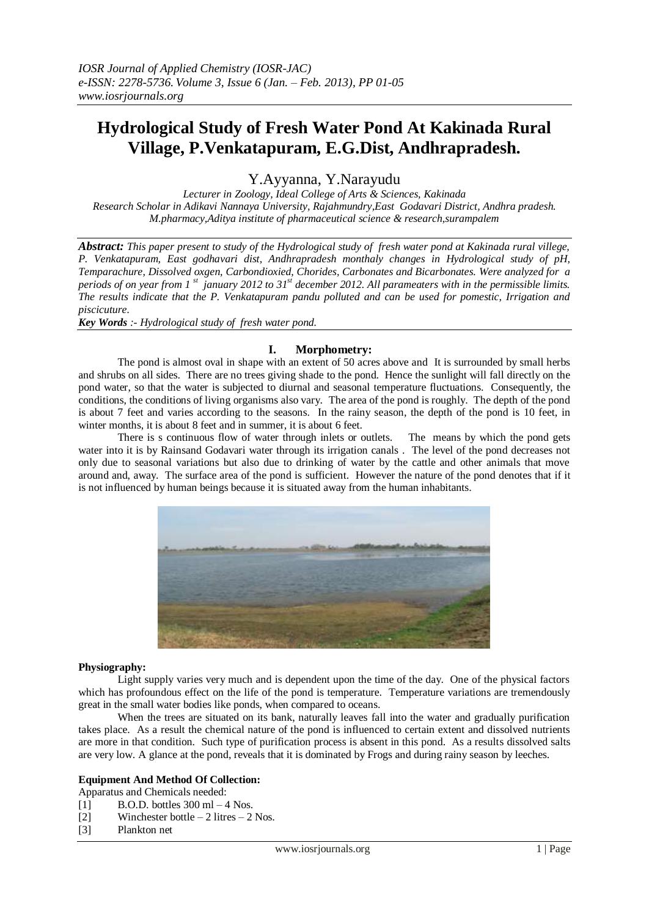# **Hydrological Study of Fresh Water Pond At Kakinada Rural Village, P.Venkatapuram, E.G.Dist, Andhrapradesh.**

Y.Ayyanna, Y.Narayudu

*Lecturer in Zoology, Ideal College of Arts & Sciences, Kakinada Research Scholar in Adikavi Nannaya University, Rajahmundry,East Godavari District, Andhra pradesh. M.pharmacy,Aditya institute of pharmaceutical science & research,surampalem*

*Abstract: This paper present to study of the Hydrological study of fresh water pond at Kakinada rural villege, P. Venkatapuram, East godhavari dist, Andhrapradesh monthaly changes in Hydrological study of pH, Temparachure, Dissolved oxgen, Carbondioxied, Chorides, Carbonates and Bicarbonates. Were analyzed for a periods of on year from 1 st january 2012 to 31st december 2012. All parameaters with in the permissible limits. The results indicate that the P. Venkatapuram pandu polluted and can be used for pomestic, Irrigation and piscicuture.*

*Key Words :- Hydrological study of fresh water pond.*

# **I. Morphometry:**

The pond is almost oval in shape with an extent of 50 acres above and It is surrounded by small herbs and shrubs on all sides. There are no trees giving shade to the pond. Hence the sunlight will fall directly on the pond water, so that the water is subjected to diurnal and seasonal temperature fluctuations. Consequently, the conditions, the conditions of living organisms also vary. The area of the pond is roughly. The depth of the pond is about 7 feet and varies according to the seasons. In the rainy season, the depth of the pond is 10 feet, in winter months, it is about 8 feet and in summer, it is about 6 feet.

There is s continuous flow of water through inlets or outlets. The means by which the pond gets water into it is by Rainsand Godavari water through its irrigation canals . The level of the pond decreases not only due to seasonal variations but also due to drinking of water by the cattle and other animals that move around and, away. The surface area of the pond is sufficient. However the nature of the pond denotes that if it is not influenced by human beings because it is situated away from the human inhabitants.



#### **Physiography:**

Light supply varies very much and is dependent upon the time of the day. One of the physical factors which has profoundous effect on the life of the pond is temperature. Temperature variations are tremendously great in the small water bodies like ponds, when compared to oceans.

When the trees are situated on its bank, naturally leaves fall into the water and gradually purification takes place. As a result the chemical nature of the pond is influenced to certain extent and dissolved nutrients are more in that condition. Such type of purification process is absent in this pond. As a results dissolved salts are very low. A glance at the pond, reveals that it is dominated by Frogs and during rainy season by leeches.

#### **Equipment And Method Of Collection:**

Apparatus and Chemicals needed:

- [1] B.O.D. bottles  $300 \text{ ml} 4 \text{ Nos.}$
- [2] Winchester bottle  $-2$  litres  $-2$  Nos.
- [3] Plankton net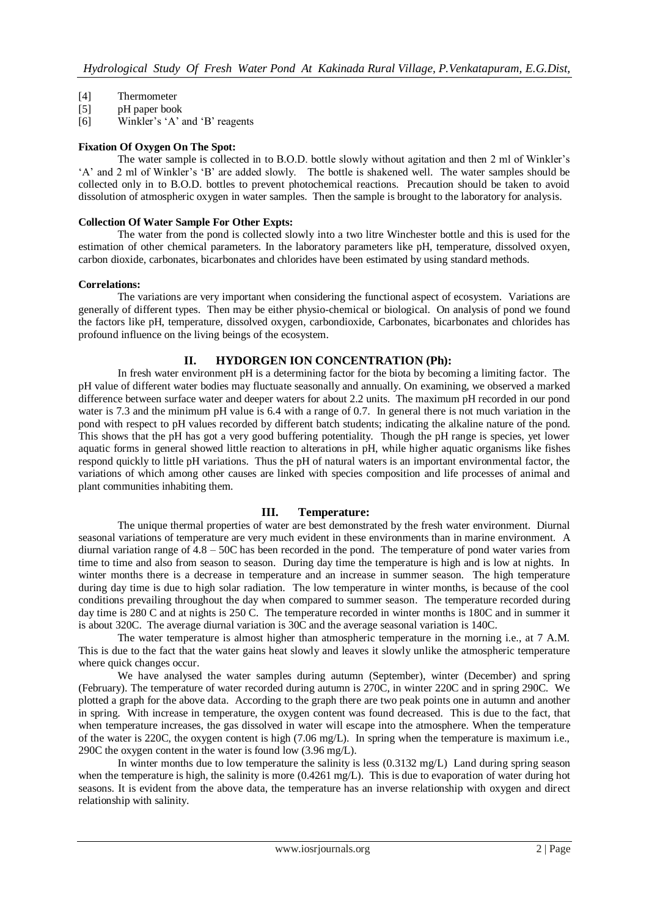- [4] Thermometer
- [5] pH paper book
- [6] Winkler's 'A' and 'B' reagents

### **Fixation Of Oxygen On The Spot:**

The water sample is collected in to B.O.D. bottle slowly without agitation and then 2 ml of Winkler's 'A' and 2 ml of Winkler's 'B' are added slowly. The bottle is shakened well. The water samples should be collected only in to B.O.D. bottles to prevent photochemical reactions. Precaution should be taken to avoid dissolution of atmospheric oxygen in water samples. Then the sample is brought to the laboratory for analysis.

#### **Collection Of Water Sample For Other Expts:**

The water from the pond is collected slowly into a two litre Winchester bottle and this is used for the estimation of other chemical parameters. In the laboratory parameters like pH, temperature, dissolved oxyen, carbon dioxide, carbonates, bicarbonates and chlorides have been estimated by using standard methods.

### **Correlations:**

The variations are very important when considering the functional aspect of ecosystem. Variations are generally of different types. Then may be either physio-chemical or biological. On analysis of pond we found the factors like pH, temperature, dissolved oxygen, carbondioxide, Carbonates, bicarbonates and chlorides has profound influence on the living beings of the ecosystem.

# **II. HYDORGEN ION CONCENTRATION (Ph):**

In fresh water environment pH is a determining factor for the biota by becoming a limiting factor. The pH value of different water bodies may fluctuate seasonally and annually. On examining, we observed a marked difference between surface water and deeper waters for about 2.2 units. The maximum pH recorded in our pond water is 7.3 and the minimum pH value is 6.4 with a range of 0.7. In general there is not much variation in the pond with respect to pH values recorded by different batch students; indicating the alkaline nature of the pond. This shows that the pH has got a very good buffering potentiality. Though the pH range is species, yet lower aquatic forms in general showed little reaction to alterations in pH, while higher aquatic organisms like fishes respond quickly to little pH variations. Thus the pH of natural waters is an important environmental factor, the variations of which among other causes are linked with species composition and life processes of animal and plant communities inhabiting them.

# **III. Temperature:**

The unique thermal properties of water are best demonstrated by the fresh water environment. Diurnal seasonal variations of temperature are very much evident in these environments than in marine environment. A diurnal variation range of 4.8 – 50C has been recorded in the pond. The temperature of pond water varies from time to time and also from season to season. During day time the temperature is high and is low at nights. In winter months there is a decrease in temperature and an increase in summer season. The high temperature during day time is due to high solar radiation. The low temperature in winter months, is because of the cool conditions prevailing throughout the day when compared to summer season. The temperature recorded during day time is 280 C and at nights is 250 C. The temperature recorded in winter months is 180C and in summer it is about 320C. The average diurnal variation is 30C and the average seasonal variation is 140C.

The water temperature is almost higher than atmospheric temperature in the morning i.e., at 7 A.M. This is due to the fact that the water gains heat slowly and leaves it slowly unlike the atmospheric temperature where quick changes occur.

We have analysed the water samples during autumn (September), winter (December) and spring (February). The temperature of water recorded during autumn is 270C, in winter 220C and in spring 290C. We plotted a graph for the above data. According to the graph there are two peak points one in autumn and another in spring. With increase in temperature, the oxygen content was found decreased. This is due to the fact, that when temperature increases, the gas dissolved in water will escape into the atmosphere. When the temperature of the water is 220C, the oxygen content is high (7.06 mg/L). In spring when the temperature is maximum i.e., 290C the oxygen content in the water is found low (3.96 mg/L).

In winter months due to low temperature the salinity is less (0.3132 mg/L) Land during spring season when the temperature is high, the salinity is more (0.4261 mg/L). This is due to evaporation of water during hot seasons. It is evident from the above data, the temperature has an inverse relationship with oxygen and direct relationship with salinity.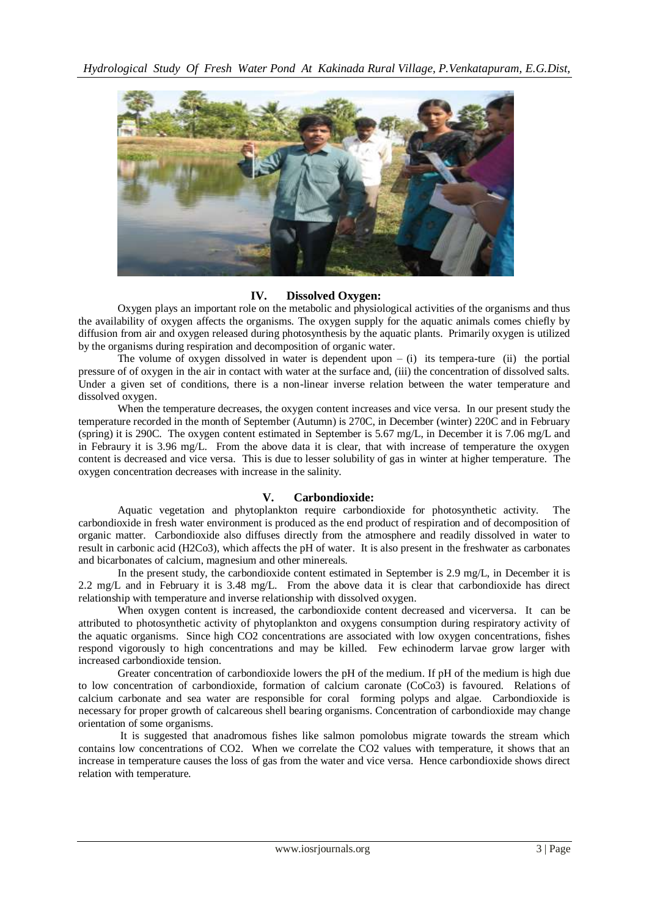

# **IV. Dissolved Oxygen:**

Oxygen plays an important role on the metabolic and physiological activities of the organisms and thus the availability of oxygen affects the organisms. The oxygen supply for the aquatic animals comes chiefly by diffusion from air and oxygen released during photosynthesis by the aquatic plants. Primarily oxygen is utilized by the organisms during respiration and decomposition of organic water.

The volume of oxygen dissolved in water is dependent upon  $-$  (i) its tempera-ture (ii) the portial pressure of of oxygen in the air in contact with water at the surface and, (iii) the concentration of dissolved salts. Under a given set of conditions, there is a non-linear inverse relation between the water temperature and dissolved oxygen.

When the temperature decreases, the oxygen content increases and vice versa. In our present study the temperature recorded in the month of September (Autumn) is 270C, in December (winter) 220C and in February (spring) it is 290C. The oxygen content estimated in September is 5.67 mg/L, in December it is 7.06 mg/L and in Febraury it is 3.96 mg/L. From the above data it is clear, that with increase of temperature the oxygen content is decreased and vice versa. This is due to lesser solubility of gas in winter at higher temperature. The oxygen concentration decreases with increase in the salinity.

# **V. Carbondioxide:**

Aquatic vegetation and phytoplankton require carbondioxide for photosynthetic activity. The carbondioxide in fresh water environment is produced as the end product of respiration and of decomposition of organic matter. Carbondioxide also diffuses directly from the atmosphere and readily dissolved in water to result in carbonic acid (H2Co3), which affects the pH of water. It is also present in the freshwater as carbonates and bicarbonates of calcium, magnesium and other minereals.

In the present study, the carbondioxide content estimated in September is 2.9 mg/L, in December it is 2.2 mg/L and in February it is 3.48 mg/L. From the above data it is clear that carbondioxide has direct relationship with temperature and inverse relationship with dissolved oxygen.

When oxygen content is increased, the carbondioxide content decreased and vicerversa. It can be attributed to photosynthetic activity of phytoplankton and oxygens consumption during respiratory activity of the aquatic organisms. Since high CO2 concentrations are associated with low oxygen concentrations, fishes respond vigorously to high concentrations and may be killed. Few echinoderm larvae grow larger with increased carbondioxide tension.

Greater concentration of carbondioxide lowers the pH of the medium. If pH of the medium is high due to low concentration of carbondioxide, formation of calcium caronate (CoCo3) is favoured. Relations of calcium carbonate and sea water are responsible for coral forming polyps and algae. Carbondioxide is necessary for proper growth of calcareous shell bearing organisms. Concentration of carbondioxide may change orientation of some organisms.

It is suggested that anadromous fishes like salmon pomolobus migrate towards the stream which contains low concentrations of CO2. When we correlate the CO2 values with temperature, it shows that an increase in temperature causes the loss of gas from the water and vice versa. Hence carbondioxide shows direct relation with temperature.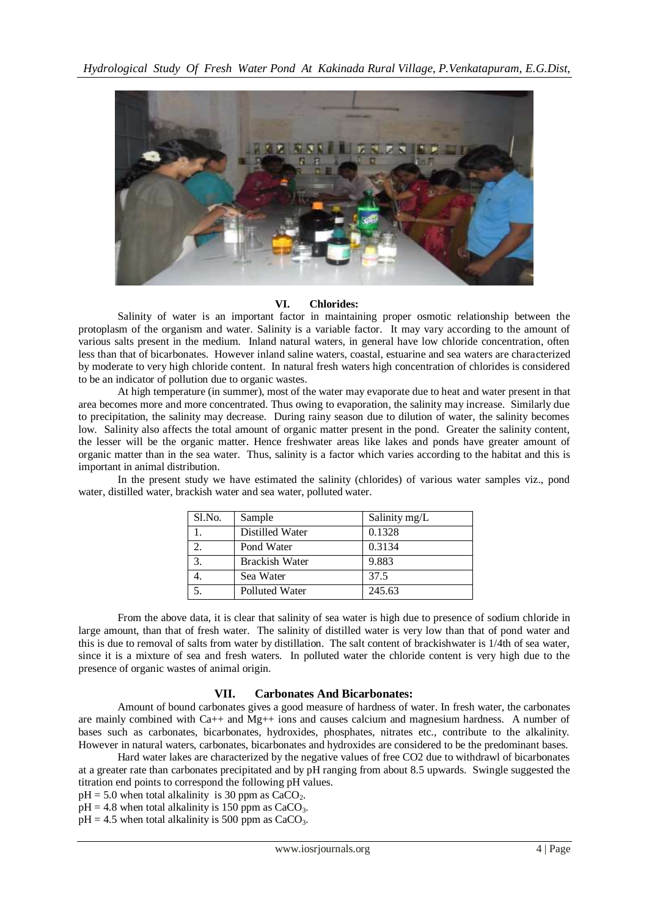

### **VI. Chlorides:**

Salinity of water is an important factor in maintaining proper osmotic relationship between the protoplasm of the organism and water. Salinity is a variable factor. It may vary according to the amount of various salts present in the medium. Inland natural waters, in general have low chloride concentration, often less than that of bicarbonates. However inland saline waters, coastal, estuarine and sea waters are characterized by moderate to very high chloride content. In natural fresh waters high concentration of chlorides is considered to be an indicator of pollution due to organic wastes.

At high temperature (in summer), most of the water may evaporate due to heat and water present in that area becomes more and more concentrated. Thus owing to evaporation, the salinity may increase. Similarly due to precipitation, the salinity may decrease. During rainy season due to dilution of water, the salinity becomes low. Salinity also affects the total amount of organic matter present in the pond. Greater the salinity content, the lesser will be the organic matter. Hence freshwater areas like lakes and ponds have greater amount of organic matter than in the sea water. Thus, salinity is a factor which varies according to the habitat and this is important in animal distribution.

| Sl.No.   | Sample                | Salinity mg/L |
|----------|-----------------------|---------------|
|          | Distilled Water       | 0.1328        |
| $\gamma$ | Pond Water            | 0.3134        |
| 3.       | <b>Brackish Water</b> | 9.883         |
|          | Sea Water             | 37.5          |
|          | Polluted Water        | 245.63        |

In the present study we have estimated the salinity (chlorides) of various water samples viz., pond water, distilled water, brackish water and sea water, polluted water.

From the above data, it is clear that salinity of sea water is high due to presence of sodium chloride in large amount, than that of fresh water. The salinity of distilled water is very low than that of pond water and this is due to removal of salts from water by distillation. The salt content of brackishwater is 1/4th of sea water, since it is a mixture of sea and fresh waters. In polluted water the chloride content is very high due to the presence of organic wastes of animal origin.

# **VII. Carbonates And Bicarbonates:**

Amount of bound carbonates gives a good measure of hardness of water. In fresh water, the carbonates are mainly combined with Ca++ and Mg++ ions and causes calcium and magnesium hardness. A number of bases such as carbonates, bicarbonates, hydroxides, phosphates, nitrates etc., contribute to the alkalinity. However in natural waters, carbonates, bicarbonates and hydroxides are considered to be the predominant bases.

Hard water lakes are characterized by the negative values of free CO2 due to withdrawl of bicarbonates at a greater rate than carbonates precipitated and by pH ranging from about 8.5 upwards. Swingle suggested the titration end points to correspond the following pH values.

- $pH = 5.0$  when total alkalinity is 30 ppm as CaCO<sub>2</sub>.
- $pH = 4.8$  when total alkalinity is 150 ppm as CaCO<sub>3</sub>.

 $pH = 4.5$  when total alkalinity is 500 ppm as CaCO<sub>3</sub>.